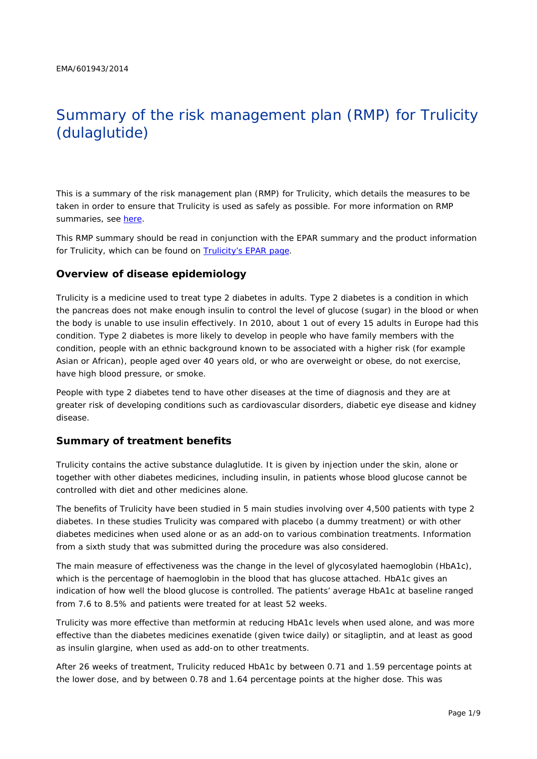# Summary of the risk management plan (RMP) for Trulicity (dulaglutide)

This is a summary of the risk management plan (RMP) for Trulicity, which details the measures to be taken in order to ensure that Trulicity is used as safely as possible. For more information on RMP summaries, see [here.](http://www.ema.europa.eu/docs/en_GB/document_library/Other/2014/05/WC500166101.pdf)

This RMP summary should be read in conjunction with the EPAR summary and the product information for Trulicity, which can be found on [Trulicity's EPAR page.](http://www.ema.europa.eu/ema/index.jsp?curl=/pages/medicines/human/medicines/002825/human_med_001821.jsp)

#### **Overview of disease epidemiology**

Trulicity is a medicine used to treat type 2 diabetes in adults. Type 2 diabetes is a condition in which the pancreas does not make enough insulin to control the level of glucose (sugar) in the blood or when the body is unable to use insulin effectively. In 2010, about 1 out of every 15 adults in Europe had this condition. Type 2 diabetes is more likely to develop in people who have family members with the condition, people with an ethnic background known to be associated with a higher risk (for example Asian or African), people aged over 40 years old, or who are overweight or obese, do not exercise, have high blood pressure, or smoke.

People with type 2 diabetes tend to have other diseases at the time of diagnosis and they are at greater risk of developing conditions such as cardiovascular disorders, diabetic eye disease and kidney disease.

#### **Summary of treatment benefits**

Trulicity contains the active substance dulaglutide. It is given by injection under the skin, alone or together with other diabetes medicines, including insulin, in patients whose blood glucose cannot be controlled with diet and other medicines alone.

The benefits of Trulicity have been studied in 5 main studies involving over 4,500 patients with type 2 diabetes. In these studies Trulicity was compared with placebo (a dummy treatment) or with other diabetes medicines when used alone or as an add-on to various combination treatments. Information from a sixth study that was submitted during the procedure was also considered.

The main measure of effectiveness was the change in the level of glycosylated haemoglobin (HbA1c), which is the percentage of haemoglobin in the blood that has glucose attached. HbA1c gives an indication of how well the blood glucose is controlled. The patients' average HbA1c at baseline ranged from 7.6 to 8.5% and patients were treated for at least 52 weeks.

Trulicity was more effective than metformin at reducing HbA1c levels when used alone, and was more effective than the diabetes medicines exenatide (given twice daily) or sitagliptin, and at least as good as insulin glargine, when used as add-on to other treatments.

After 26 weeks of treatment, Trulicity reduced HbA1c by between 0.71 and 1.59 percentage points at the lower dose, and by between 0.78 and 1.64 percentage points at the higher dose. This was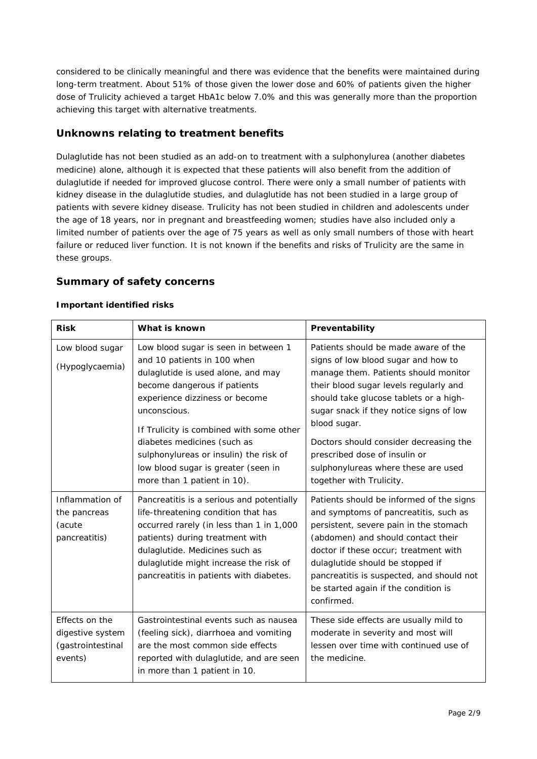considered to be clinically meaningful and there was evidence that the benefits were maintained during long-term treatment. About 51% of those given the lower dose and 60% of patients given the higher dose of Trulicity achieved a target HbA1c below 7.0% and this was generally more than the proportion achieving this target with alternative treatments.

### **Unknowns relating to treatment benefits**

Dulaglutide has not been studied as an add-on to treatment with a sulphonylurea (another diabetes medicine) alone, although it is expected that these patients will also benefit from the addition of dulaglutide if needed for improved glucose control. There were only a small number of patients with kidney disease in the dulaglutide studies, and dulaglutide has not been studied in a large group of patients with severe kidney disease. Trulicity has not been studied in children and adolescents under the age of 18 years, nor in pregnant and breastfeeding women; studies have also included only a limited number of patients over the age of 75 years as well as only small numbers of those with heart failure or reduced liver function. It is not known if the benefits and risks of Trulicity are the same in these groups.

#### **Summary of safety concerns**

#### *Important identified risks*

| <b>Risk</b>                                                        | What is known                                                                                                                                                                                                                                                                                                                                                                          | Preventability                                                                                                                                                                                                                                                                                                                                                                                                   |
|--------------------------------------------------------------------|----------------------------------------------------------------------------------------------------------------------------------------------------------------------------------------------------------------------------------------------------------------------------------------------------------------------------------------------------------------------------------------|------------------------------------------------------------------------------------------------------------------------------------------------------------------------------------------------------------------------------------------------------------------------------------------------------------------------------------------------------------------------------------------------------------------|
| Low blood sugar<br>(Hypoglycaemia)                                 | Low blood sugar is seen in between 1<br>and 10 patients in 100 when<br>dulaglutide is used alone, and may<br>become dangerous if patients<br>experience dizziness or become<br>unconscious.<br>If Trulicity is combined with some other<br>diabetes medicines (such as<br>sulphonylureas or insulin) the risk of<br>low blood sugar is greater (seen in<br>more than 1 patient in 10). | Patients should be made aware of the<br>signs of low blood sugar and how to<br>manage them. Patients should monitor<br>their blood sugar levels regularly and<br>should take glucose tablets or a high-<br>sugar snack if they notice signs of low<br>blood sugar.<br>Doctors should consider decreasing the<br>prescribed dose of insulin or<br>sulphonylureas where these are used<br>together with Trulicity. |
| Inflammation of<br>the pancreas<br>(acute<br>pancreatitis)         | Pancreatitis is a serious and potentially<br>life-threatening condition that has<br>occurred rarely (in less than 1 in 1,000<br>patients) during treatment with<br>dulaglutide. Medicines such as<br>dulaglutide might increase the risk of<br>pancreatitis in patients with diabetes.                                                                                                 | Patients should be informed of the signs<br>and symptoms of pancreatitis, such as<br>persistent, severe pain in the stomach<br>(abdomen) and should contact their<br>doctor if these occur; treatment with<br>dulaglutide should be stopped if<br>pancreatitis is suspected, and should not<br>be started again if the condition is<br>confirmed.                                                                |
| Effects on the<br>digestive system<br>(gastrointestinal<br>events) | Gastrointestinal events such as nausea<br>(feeling sick), diarrhoea and vomiting<br>are the most common side effects<br>reported with dulaglutide, and are seen<br>in more than 1 patient in 10.                                                                                                                                                                                       | These side effects are usually mild to<br>moderate in severity and most will<br>lessen over time with continued use of<br>the medicine.                                                                                                                                                                                                                                                                          |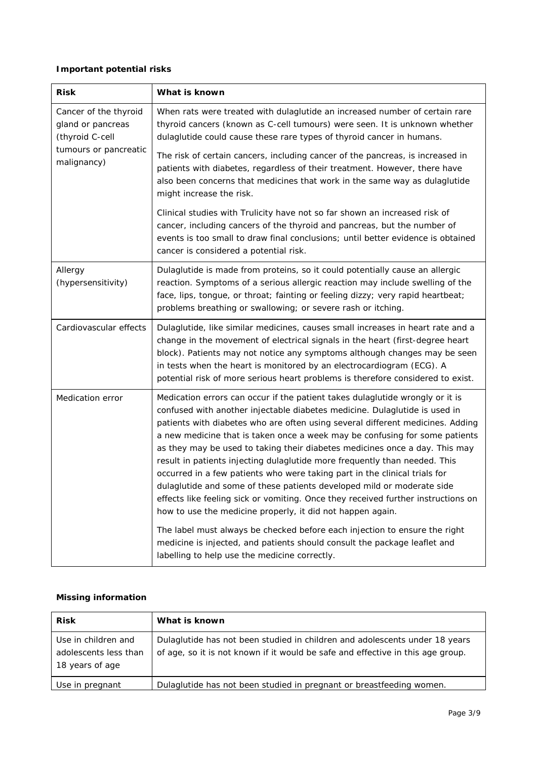#### *Important potential risks*

| <b>Risk</b>                                                   | What is known                                                                                                                                                                                                                                                                                                                                                                                                                                                                                                                                                                                                                                                                                                                                                                                        |  |  |
|---------------------------------------------------------------|------------------------------------------------------------------------------------------------------------------------------------------------------------------------------------------------------------------------------------------------------------------------------------------------------------------------------------------------------------------------------------------------------------------------------------------------------------------------------------------------------------------------------------------------------------------------------------------------------------------------------------------------------------------------------------------------------------------------------------------------------------------------------------------------------|--|--|
| Cancer of the thyroid<br>gland or pancreas<br>(thyroid C-cell | When rats were treated with dulaglutide an increased number of certain rare<br>thyroid cancers (known as C-cell tumours) were seen. It is unknown whether<br>dulaglutide could cause these rare types of thyroid cancer in humans.                                                                                                                                                                                                                                                                                                                                                                                                                                                                                                                                                                   |  |  |
| tumours or pancreatic<br>malignancy)                          | The risk of certain cancers, including cancer of the pancreas, is increased in<br>patients with diabetes, regardless of their treatment. However, there have<br>also been concerns that medicines that work in the same way as dulaglutide<br>might increase the risk.                                                                                                                                                                                                                                                                                                                                                                                                                                                                                                                               |  |  |
|                                                               | Clinical studies with Trulicity have not so far shown an increased risk of<br>cancer, including cancers of the thyroid and pancreas, but the number of<br>events is too small to draw final conclusions; until better evidence is obtained<br>cancer is considered a potential risk.                                                                                                                                                                                                                                                                                                                                                                                                                                                                                                                 |  |  |
| Allergy<br>(hypersensitivity)                                 | Dulaglutide is made from proteins, so it could potentially cause an allergic<br>reaction. Symptoms of a serious allergic reaction may include swelling of the<br>face, lips, tongue, or throat; fainting or feeling dizzy; very rapid heartbeat;<br>problems breathing or swallowing; or severe rash or itching.                                                                                                                                                                                                                                                                                                                                                                                                                                                                                     |  |  |
| Cardiovascular effects                                        | Dulaglutide, like similar medicines, causes small increases in heart rate and a<br>change in the movement of electrical signals in the heart (first-degree heart<br>block). Patients may not notice any symptoms although changes may be seen<br>in tests when the heart is monitored by an electrocardiogram (ECG). A<br>potential risk of more serious heart problems is therefore considered to exist.                                                                                                                                                                                                                                                                                                                                                                                            |  |  |
| Medication error                                              | Medication errors can occur if the patient takes dulaglutide wrongly or it is<br>confused with another injectable diabetes medicine. Dulaglutide is used in<br>patients with diabetes who are often using several different medicines. Adding<br>a new medicine that is taken once a week may be confusing for some patients<br>as they may be used to taking their diabetes medicines once a day. This may<br>result in patients injecting dulaglutide more frequently than needed. This<br>occurred in a few patients who were taking part in the clinical trials for<br>dulaglutide and some of these patients developed mild or moderate side<br>effects like feeling sick or vomiting. Once they received further instructions on<br>how to use the medicine properly, it did not happen again. |  |  |
|                                                               | The label must always be checked before each injection to ensure the right<br>medicine is injected, and patients should consult the package leaflet and<br>labelling to help use the medicine correctly.                                                                                                                                                                                                                                                                                                                                                                                                                                                                                                                                                                                             |  |  |

#### *Missing information*

| <b>Risk</b>                                                     | What is known                                                                                                                                                  |
|-----------------------------------------------------------------|----------------------------------------------------------------------------------------------------------------------------------------------------------------|
| Use in children and<br>adolescents less than<br>18 years of age | Dulaglutide has not been studied in children and adolescents under 18 years<br>of age, so it is not known if it would be safe and effective in this age group. |
| Use in pregnant                                                 | Dulaglutide has not been studied in pregnant or breastfeeding women.                                                                                           |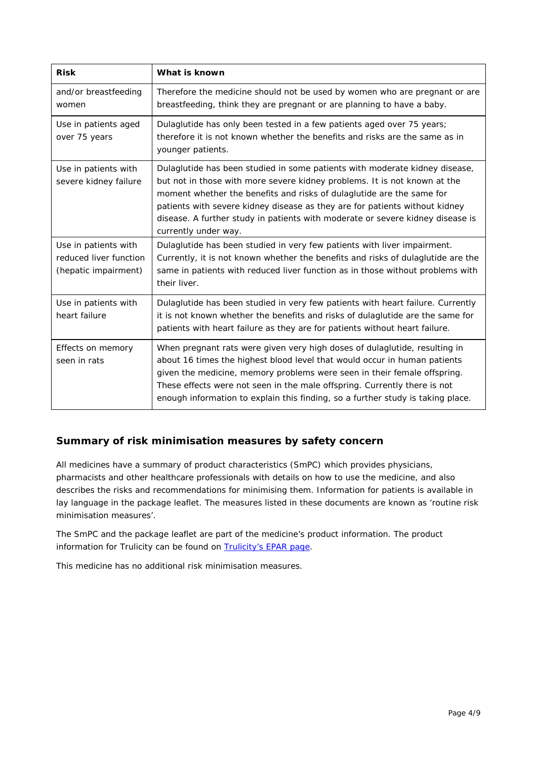| <b>Risk</b>                                                            | What is known                                                                                                                                                                                                                                                                                                                                                                                                              |
|------------------------------------------------------------------------|----------------------------------------------------------------------------------------------------------------------------------------------------------------------------------------------------------------------------------------------------------------------------------------------------------------------------------------------------------------------------------------------------------------------------|
| and/or breastfeeding<br>women                                          | Therefore the medicine should not be used by women who are pregnant or are<br>breastfeeding, think they are pregnant or are planning to have a baby.                                                                                                                                                                                                                                                                       |
| Use in patients aged<br>over 75 years                                  | Dulaglutide has only been tested in a few patients aged over 75 years;<br>therefore it is not known whether the benefits and risks are the same as in<br>younger patients.                                                                                                                                                                                                                                                 |
| Use in patients with<br>severe kidney failure                          | Dulaglutide has been studied in some patients with moderate kidney disease,<br>but not in those with more severe kidney problems. It is not known at the<br>moment whether the benefits and risks of dulaglutide are the same for<br>patients with severe kidney disease as they are for patients without kidney<br>disease. A further study in patients with moderate or severe kidney disease is<br>currently under way. |
| Use in patients with<br>reduced liver function<br>(hepatic impairment) | Dulaglutide has been studied in very few patients with liver impairment.<br>Currently, it is not known whether the benefits and risks of dulaglutide are the<br>same in patients with reduced liver function as in those without problems with<br>their liver.                                                                                                                                                             |
| Use in patients with<br>heart failure                                  | Dulaglutide has been studied in very few patients with heart failure. Currently<br>it is not known whether the benefits and risks of dulaglutide are the same for<br>patients with heart failure as they are for patients without heart failure.                                                                                                                                                                           |
| Effects on memory<br>seen in rats                                      | When pregnant rats were given very high doses of dulaglutide, resulting in<br>about 16 times the highest blood level that would occur in human patients<br>given the medicine, memory problems were seen in their female offspring.<br>These effects were not seen in the male offspring. Currently there is not<br>enough information to explain this finding, so a further study is taking place.                        |

## **Summary of risk minimisation measures by safety concern**

All medicines have a summary of product characteristics (SmPC) which provides physicians, pharmacists and other healthcare professionals with details on how to use the medicine, and also describes the risks and recommendations for minimising them. Information for patients is available in lay language in the package leaflet. The measures listed in these documents are known as 'routine risk minimisation measures'.

The SmPC and the package leaflet are part of the medicine's product information. The product information for Trulicity can be found on **Trulicity's EPAR page**.

This medicine has no additional risk minimisation measures.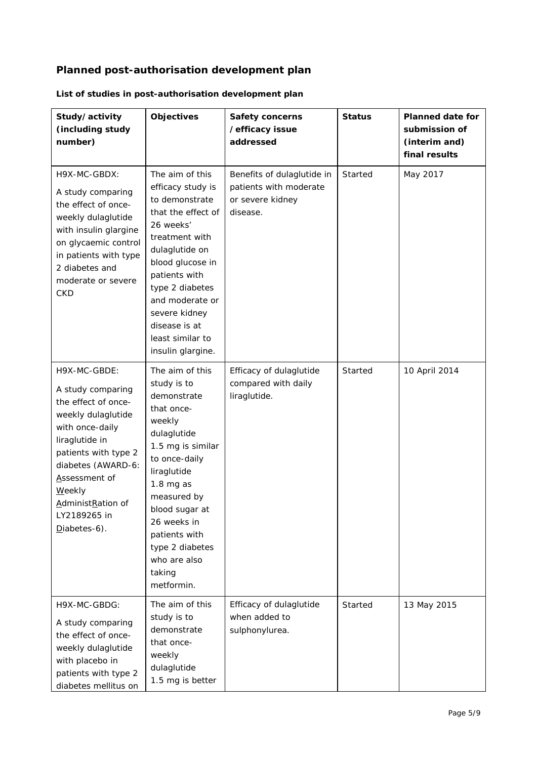# **Planned post-authorisation development plan**

| Study/activity<br>(including study<br>number)                                                                                                                                                                                                               | <b>Objectives</b>                                                                                                                                                                                                                                                                    | <b>Safety concerns</b><br>/efficacy issue<br>addressed                               | <b>Status</b> | <b>Planned date for</b><br>submission of<br>(interim and)<br>final results |
|-------------------------------------------------------------------------------------------------------------------------------------------------------------------------------------------------------------------------------------------------------------|--------------------------------------------------------------------------------------------------------------------------------------------------------------------------------------------------------------------------------------------------------------------------------------|--------------------------------------------------------------------------------------|---------------|----------------------------------------------------------------------------|
| H9X-MC-GBDX:<br>A study comparing<br>the effect of once-<br>weekly dulaglutide<br>with insulin glargine<br>on glycaemic control<br>in patients with type<br>2 diabetes and<br>moderate or severe<br><b>CKD</b>                                              | The aim of this<br>efficacy study is<br>to demonstrate<br>that the effect of<br>26 weeks'<br>treatment with<br>dulaglutide on<br>blood glucose in<br>patients with<br>type 2 diabetes<br>and moderate or<br>severe kidney<br>disease is at<br>least similar to<br>insulin glargine.  | Benefits of dulaglutide in<br>patients with moderate<br>or severe kidney<br>disease. | Started       | May 2017                                                                   |
| H9X-MC-GBDE:<br>A study comparing<br>the effect of once-<br>weekly dulaglutide<br>with once-daily<br>liraglutide in<br>patients with type 2<br>diabetes (AWARD-6:<br>Assessment of<br><b>Weekly</b><br>AdministRation of<br>LY2189265 in<br>$Diabetes-6$ ). | The aim of this<br>study is to<br>demonstrate<br>that once-<br>weekly<br>dulaglutide<br>1.5 mg is similar<br>to once-daily<br>liraglutide<br>$1.8$ mg as<br>measured by<br>blood sugar at<br>26 weeks in<br>patients with<br>type 2 diabetes<br>who are also<br>taking<br>metformin. | Efficacy of dulaglutide<br>compared with daily<br>liraglutide.                       | Started       | 10 April 2014                                                              |
| H9X-MC-GBDG:<br>A study comparing<br>the effect of once-<br>weekly dulaglutide<br>with placebo in<br>patients with type 2<br>diabetes mellitus on                                                                                                           | The aim of this<br>study is to<br>demonstrate<br>that once-<br>weekly<br>dulaglutide<br>1.5 mg is better                                                                                                                                                                             | Efficacy of dulaglutide<br>when added to<br>sulphonylurea.                           | Started       | 13 May 2015                                                                |

# *List of studies in post-authorisation development plan*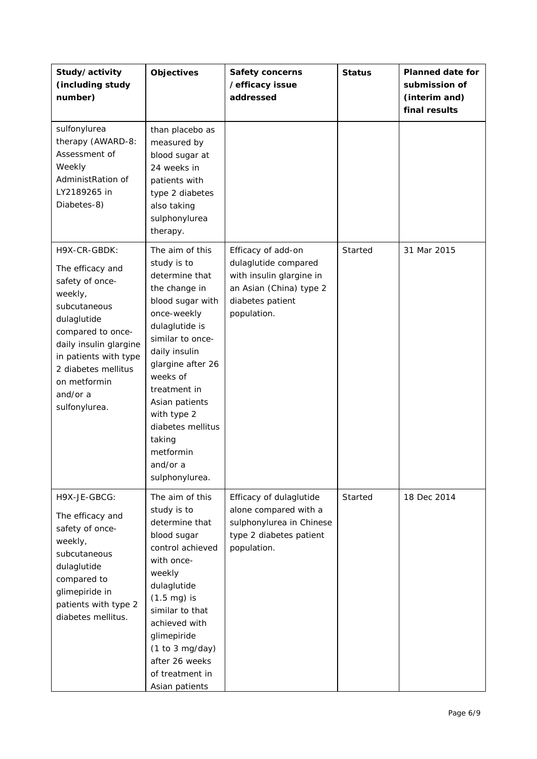| Study/activity<br>(including study<br>number)                                                                                                                                                                                             | Objectives                                                                                                                                                                                                                                                                                                              | <b>Safety concerns</b><br>/efficacy issue<br>addressed                                                                               | <b>Status</b> | <b>Planned date for</b><br>submission of<br>(interim and)<br>final results |
|-------------------------------------------------------------------------------------------------------------------------------------------------------------------------------------------------------------------------------------------|-------------------------------------------------------------------------------------------------------------------------------------------------------------------------------------------------------------------------------------------------------------------------------------------------------------------------|--------------------------------------------------------------------------------------------------------------------------------------|---------------|----------------------------------------------------------------------------|
| sulfonylurea<br>therapy (AWARD-8:<br>Assessment of<br>Weekly<br>AdministRation of<br>LY2189265 in<br>Diabetes-8)                                                                                                                          | than placebo as<br>measured by<br>blood sugar at<br>24 weeks in<br>patients with<br>type 2 diabetes<br>also taking<br>sulphonylurea<br>therapy.                                                                                                                                                                         |                                                                                                                                      |               |                                                                            |
| H9X-CR-GBDK:<br>The efficacy and<br>safety of once-<br>weekly,<br>subcutaneous<br>dulaglutide<br>compared to once-<br>daily insulin glargine<br>in patients with type<br>2 diabetes mellitus<br>on metformin<br>and/or a<br>sulfonylurea. | The aim of this<br>study is to<br>determine that<br>the change in<br>blood sugar with<br>once-weekly<br>dulaglutide is<br>similar to once-<br>daily insulin<br>glargine after 26<br>weeks of<br>treatment in<br>Asian patients<br>with type 2<br>diabetes mellitus<br>taking<br>metformin<br>and/or a<br>sulphonylurea. | Efficacy of add-on<br>dulaglutide compared<br>with insulin glargine in<br>an Asian (China) type 2<br>diabetes patient<br>population. | Started       | 31 Mar 2015                                                                |
| H9X-JE-GBCG:<br>The efficacy and<br>safety of once-<br>weekly,<br>subcutaneous<br>dulaglutide<br>compared to<br>glimepiride in<br>patients with type 2<br>diabetes mellitus.                                                              | The aim of this<br>study is to<br>determine that<br>blood sugar<br>control achieved<br>with once-<br>weekly<br>dulaglutide<br>$(1.5 \text{ mg})$ is<br>similar to that<br>achieved with<br>glimepiride<br>(1 to 3 mg/day)<br>after 26 weeks<br>of treatment in<br>Asian patients                                        | Efficacy of dulaglutide<br>alone compared with a<br>sulphonylurea in Chinese<br>type 2 diabetes patient<br>population.               | Started       | 18 Dec 2014                                                                |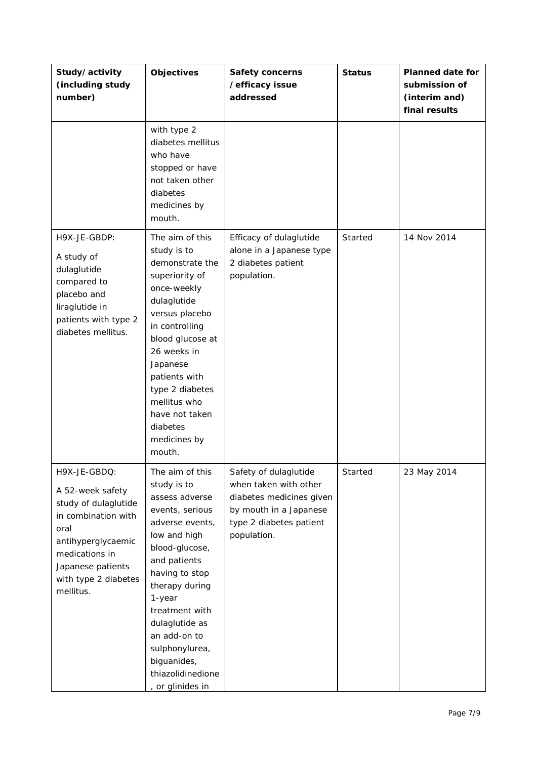| Study/activity<br>(including study<br>number)                                                                                                                                             | Objectives                                                                                                                                                                                                                                                                                                         | <b>Safety concerns</b><br>/efficacy issue<br>addressed                                                                                         | <b>Status</b> | <b>Planned date for</b><br>submission of<br>(interim and)<br>final results |
|-------------------------------------------------------------------------------------------------------------------------------------------------------------------------------------------|--------------------------------------------------------------------------------------------------------------------------------------------------------------------------------------------------------------------------------------------------------------------------------------------------------------------|------------------------------------------------------------------------------------------------------------------------------------------------|---------------|----------------------------------------------------------------------------|
|                                                                                                                                                                                           | with type 2<br>diabetes mellitus<br>who have<br>stopped or have<br>not taken other<br>diabetes<br>medicines by<br>mouth.                                                                                                                                                                                           |                                                                                                                                                |               |                                                                            |
| H9X-JE-GBDP:<br>A study of<br>dulaglutide<br>compared to<br>placebo and<br>liraglutide in<br>patients with type 2<br>diabetes mellitus.                                                   | The aim of this<br>study is to<br>demonstrate the<br>superiority of<br>once-weekly<br>dulaglutide<br>versus placebo<br>in controlling<br>blood glucose at<br>26 weeks in<br>Japanese<br>patients with<br>type 2 diabetes<br>mellitus who<br>have not taken<br>diabetes<br>medicines by<br>mouth.                   | Efficacy of dulaglutide<br>alone in a Japanese type<br>2 diabetes patient<br>population.                                                       | Started       | 14 Nov 2014                                                                |
| H9X-JE-GBDQ:<br>A 52-week safety<br>study of dulaglutide<br>in combination with<br>oral<br>antihyperglycaemic<br>medications in<br>Japanese patients<br>with type 2 diabetes<br>mellitus. | The aim of this<br>study is to<br>assess adverse<br>events, serious<br>adverse events,<br>low and high<br>blood-glucose,<br>and patients<br>having to stop<br>therapy during<br>1-year<br>treatment with<br>dulaglutide as<br>an add-on to<br>sulphonylurea,<br>biguanides,<br>thiazolidinedione<br>or glinides in | Safety of dulaglutide<br>when taken with other<br>diabetes medicines given<br>by mouth in a Japanese<br>type 2 diabetes patient<br>population. | Started       | 23 May 2014                                                                |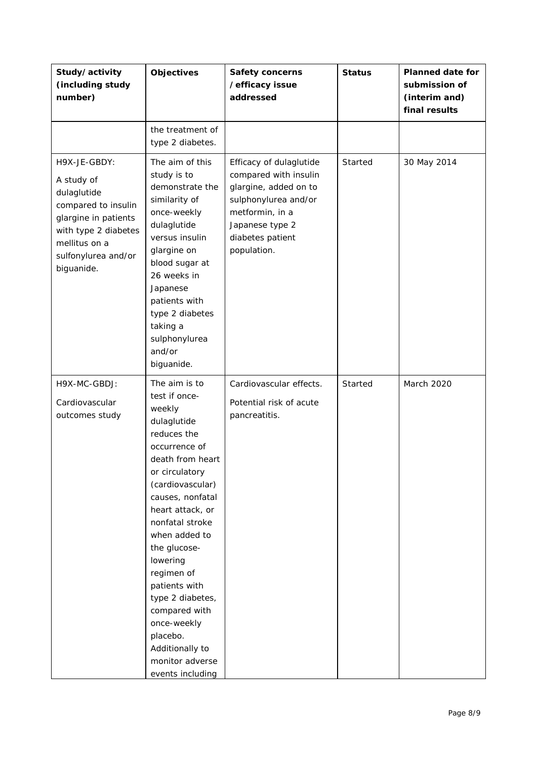| Study/activity<br>(including study<br>number)                                                                                                                          | <b>Objectives</b>                                                                                                                                                                                                                                                                                                                                                                                                  | Safety concerns<br>/efficacy issue<br>addressed                                                                                                                            | <b>Status</b> | <b>Planned date for</b><br>submission of<br>(interim and)<br>final results |
|------------------------------------------------------------------------------------------------------------------------------------------------------------------------|--------------------------------------------------------------------------------------------------------------------------------------------------------------------------------------------------------------------------------------------------------------------------------------------------------------------------------------------------------------------------------------------------------------------|----------------------------------------------------------------------------------------------------------------------------------------------------------------------------|---------------|----------------------------------------------------------------------------|
|                                                                                                                                                                        | the treatment of<br>type 2 diabetes.                                                                                                                                                                                                                                                                                                                                                                               |                                                                                                                                                                            |               |                                                                            |
| H9X-JE-GBDY:<br>A study of<br>dulaglutide<br>compared to insulin<br>glargine in patients<br>with type 2 diabetes<br>mellitus on a<br>sulfonylurea and/or<br>biguanide. | The aim of this<br>study is to<br>demonstrate the<br>similarity of<br>once-weekly<br>dulaglutide<br>versus insulin<br>glargine on<br>blood sugar at<br>26 weeks in<br>Japanese<br>patients with<br>type 2 diabetes<br>taking a<br>sulphonylurea<br>and/or<br>biguanide.                                                                                                                                            | Efficacy of dulaglutide<br>compared with insulin<br>glargine, added on to<br>sulphonylurea and/or<br>metformin, in a<br>Japanese type 2<br>diabetes patient<br>population. | Started       | 30 May 2014                                                                |
| H9X-MC-GBDJ:<br>Cardiovascular<br>outcomes study                                                                                                                       | The aim is to<br>test if once-<br>weekly<br>dulaglutide<br>reduces the<br>occurrence of<br>death from heart<br>or circulatory<br>(cardiovascular)<br>causes, nonfatal<br>heart attack, or<br>nonfatal stroke<br>when added to<br>the glucose-<br>lowering<br>regimen of<br>patients with<br>type 2 diabetes,<br>compared with<br>once-weekly<br>placebo.<br>Additionally to<br>monitor adverse<br>events including | Cardiovascular effects.<br>Potential risk of acute<br>pancreatitis.                                                                                                        | Started       | March 2020                                                                 |